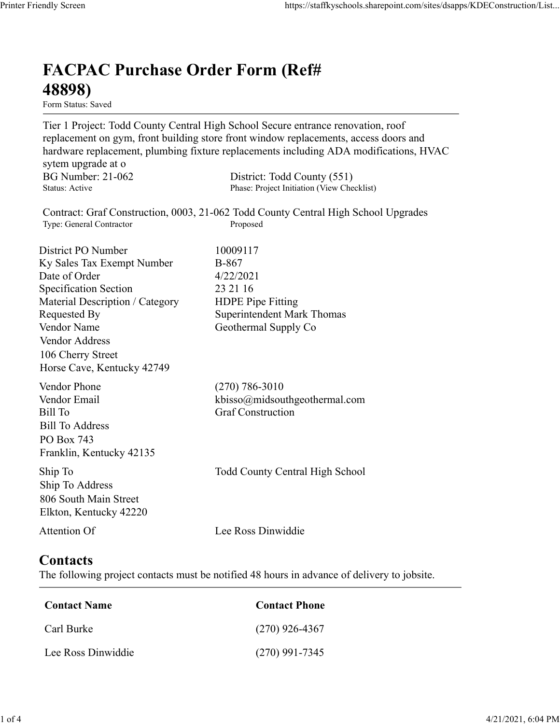## FACPAC Purchase Order Form (Ref# 48898)

Form Status: Saved

Tier 1 Project: Todd County Central High School Secure entrance renovation, roof replacement on gym, front building store front window replacements, access doors and hardware replacement, plumbing fixture replacements including ADA modifications, HVAC sytem upgrade at o https://staffkyschools.sharepoint.com/sites/dsapps/KDEConstructic<br> **FACPAC Purchase Order Form (Ref#**<br>
Form Status: Saved<br>
Tier 1 Project: Todd County Central High School Secure entrance renovation, roof<br>
replacement on gy https://staffkyschools.sharepoint.com/sites/dsapps/KDEConstructic<br> **FACPAC Purchase Order Form (Ref#**<br>
Form States: Saved<br>
Form States: Saved<br>
Tier 1 Project: Todd County Central High School Secure entrance renovation, roo Contract: Graf Construction, 0003, 21-062 Todd County Central High School Upgrades https://staffkyschools.sharepoint.com/sites/dsarps/KDFConstructic<br> **FACPAC Purchase Order Form (Ref#**<br>
Form Status: Saved<br>
Form Status: Saved<br>
Form Status: Saved<br>
Form Status: Saved<br>
Form Ingrade at o<br>
sychem upgrade at on **FACPAC Purchase Order Form (Ref#**<br> **48898)**<br> **Form Status:** Saved<br> **Form Status:** Saved<br> **Form Status:** Saved<br> **Form Status:** The Boston County Central High School Sceure entrance renovation, roof<br> **replacement on gym, f FACPAC Purchase Order Form (Ref#**<br> **48898)**<br>
Form Stans: Saved<br>
Form Stans: Saved<br>
Ter I Project: Todd County Central High School Sceure entrance renovation, roof<br>
replacement on gym, front building store front window re **FACPAC Purchase Order Form (Ref#** $\leftarrow$  **48898)**<br>
Form Status: Saved<br>
Tier 1 Project: Todd County Central High School Secure entrance renovation, roof<br>
replacement on gym, front building store front window replacements, acc **FACPAC Purchase Order Form (Ref#**<br> **48898)**<br>
Form Status: Saved<br>
Tier 1 Project: Todd County Central High School Sceure entrance renovation, roof<br>
replacement on gym, front building store front window replacements, acces **FACPAC Purchase Order Form (Ref#**<br> **48898)**<br>
Form Status. Saved<br>
Terr 1 Project: Todd County Central High School Secure entrance renovation, roof<br>
Teplacement on gym, front building store front window replacements, acces **48898)**<br>
Form Status: Saved<br>
Tier 1 Project: Todd County Central High School Secure entrance renovation, roof<br>
replacement on gym, front building store front window replacements, access doors and<br>
hardware replacement, pl **From States:** Swed<br> **Form States:** Swed<br>
Trer 1 Project: Todd County Central High School Sceure entrance renovation, roof<br>
replacement on gym, front building store front window replacements, access doors and<br>
hardware rep Vendor Address 106 Cherry Street Horse Cave, Kentucky 42749 nardware replacements, multimary and the system upgrade at o<br>sytem upgrade at o<br>BG Number: 21-062 District: Todd County (551)<br>Status: Active<br>BG Number: 21-062 District: Todd County (S51)<br>Contract: Graf Construction, 0003, sytem upgrade at 0<br>
BG Number: 21-662 District: Todd County (551)<br>
Status: Active Phase: Project Initiation (View Checklist)<br>
Toutract: Graf Construction, 0003, 21-062 Todd County Central High School Upgrades<br>
They General Bill Number: 21-062<br>
Bill Number<br>
Status: Active<br>
Status: Active<br>
Contract: Graf Construction, 0003, 21-062 Todd County Central High School Upgrades<br>
Type: General Contractor<br>
District PO Number<br>
District PO Number<br>
Distri Bill To Address PO Box 743 Franklin, Kentucky 42135 District PO Number<br>
IS Ny Sales Tax Exempt Number<br>
ID To Todder<br>
Specification Section<br>
Specification School and 223/2021<br>
Specification School County<br>
Material Description / Category<br>
EDPE Pipe Fitting<br>
Nendor Name<br>
Count Ship To Address 806 South Main Street Elkton, Kentucky 42220 Material Description / Category<br>
Requested By<br>
Requested By<br>
Nendor Name<br>
Vendor Address<br>
Vendor Address<br>
106 Cherry Street<br>
Horse Cave, Kentucky 42749<br>
Vendor Phone<br>
(270) 786-3010<br>
Vendor Phone<br>
(270) 786-3010<br>
Vendor Ph **Contacts** The following project contacts must be notified 48 hours in advance of delivery to jobsite. Frame Contact Remarks +2.797<br>
Conder Phone<br>
Contact Remarks (270) 786-3010<br>
Endor Email<br>
IIII To Address<br>
CO Box 743<br>
III To Address<br>
III To Remarks +2220<br>
In To Remarks (6 South Main Street<br>
Contact Rikhon, Kentucky 42220 Vendor Email<br>
iil To<br>
iil To<br>
iil To<br>
iil To<br>
Chil Burke (Star Burke (Star Burke (Star)<br>
Color Box 743<br>
In p To<br>
O Box 743<br>
In Fo<br>
Of South Main Street<br>
In To<br>
Constant Marke (Star)<br>
Elsion, Kentucky 42220<br>
Itention Of<br>
Cl Sill To Address<br>
Co Box 743<br>
Tranklin, Kentucky 42135<br>
hip To<br>
Todd County Central High School<br>
Michigo To Address<br>
hip To Address<br>
Likton, Kentucky 42220<br>
Lee Ross Dinwiddie<br> **Contact Secure Ross Dinamiller**<br>
Contact Name

| <b>Contact Name</b> | <b>Contact Phone</b> |
|---------------------|----------------------|
| Carl Burke          | $(270)$ 926-4367     |
| Lee Ross Dinwiddie  | $(270)$ 991-7345     |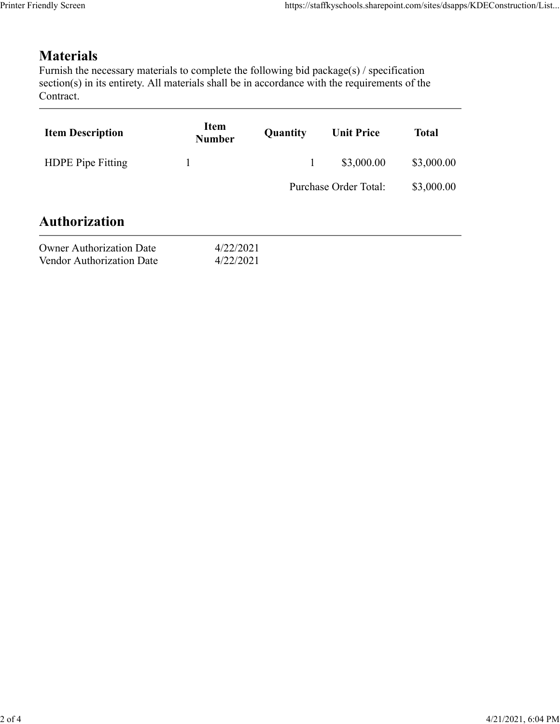## **Materials**

| endly Screen                                                                                                                                                                                                               |                              |              | https://staffkyschools.sharepoint.com/sites/dsapps/KDEConstruction/List |              |
|----------------------------------------------------------------------------------------------------------------------------------------------------------------------------------------------------------------------------|------------------------------|--------------|-------------------------------------------------------------------------|--------------|
|                                                                                                                                                                                                                            |                              |              |                                                                         |              |
| <b>Materials</b><br>Furnish the necessary materials to complete the following bid package(s) / specification<br>section(s) in its entirety. All materials shall be in accordance with the requirements of the<br>Contract. |                              |              |                                                                         |              |
| <b>Item Description</b>                                                                                                                                                                                                    | <b>Item</b><br><b>Number</b> | Quantity     | <b>Unit Price</b>                                                       | <b>Total</b> |
| HDPE Pipe Fitting                                                                                                                                                                                                          | $\mathbf{1}$                 | $\mathbf{1}$ | \$3,000.00                                                              | \$3,000.00   |
|                                                                                                                                                                                                                            |                              |              | Purchase Order Total:                                                   | \$3,000.00   |
|                                                                                                                                                                                                                            |                              |              |                                                                         |              |
| <b>Authorization</b>                                                                                                                                                                                                       |                              |              |                                                                         |              |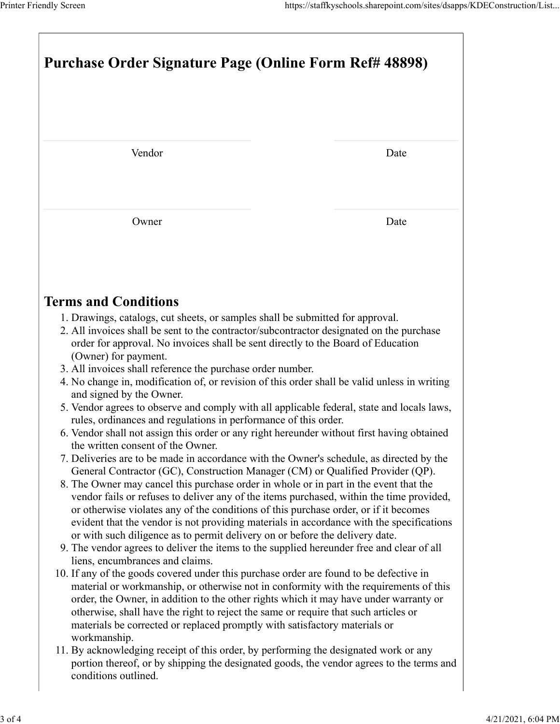|                                                                                                                                                                                                                                                                                        | https://staffkyschools.sharepoint.com/sites/dsapps/KDEConstruction/List |  |  |  |  |
|----------------------------------------------------------------------------------------------------------------------------------------------------------------------------------------------------------------------------------------------------------------------------------------|-------------------------------------------------------------------------|--|--|--|--|
| Printer Friendly Screen                                                                                                                                                                                                                                                                |                                                                         |  |  |  |  |
|                                                                                                                                                                                                                                                                                        |                                                                         |  |  |  |  |
|                                                                                                                                                                                                                                                                                        | <b>Purchase Order Signature Page (Online Form Ref# 48898)</b>           |  |  |  |  |
|                                                                                                                                                                                                                                                                                        |                                                                         |  |  |  |  |
|                                                                                                                                                                                                                                                                                        |                                                                         |  |  |  |  |
| Vendor                                                                                                                                                                                                                                                                                 | Date                                                                    |  |  |  |  |
|                                                                                                                                                                                                                                                                                        |                                                                         |  |  |  |  |
| Owner                                                                                                                                                                                                                                                                                  | Date                                                                    |  |  |  |  |
|                                                                                                                                                                                                                                                                                        |                                                                         |  |  |  |  |
| <b>Terms and Conditions</b>                                                                                                                                                                                                                                                            |                                                                         |  |  |  |  |
| 1. Drawings, catalogs, cut sheets, or samples shall be submitted for approval.<br>2. All invoices shall be sent to the contractor/subcontractor designated on the purchase<br>order for approval. No invoices shall be sent directly to the Board of Education<br>(Owner) for payment. |                                                                         |  |  |  |  |
| 3. All invoices shall reference the purchase order number.<br>4. No change in, modification of, or revision of this order shall be valid unless in writing                                                                                                                             |                                                                         |  |  |  |  |
| and signed by the Owner.<br>5. Vendor agrees to observe and comply with all applicable federal, state and locals laws,<br>rules, ordinances and regulations in performance of this order.                                                                                              |                                                                         |  |  |  |  |
| 6. Vendor shall not assign this order or any right hereunder without first having obtained<br>the written consent of the Owner.                                                                                                                                                        |                                                                         |  |  |  |  |
| 7. Deliveries are to be made in accordance with the Owner's schedule, as directed by the<br>General Contractor (GC), Construction Manager (CM) or Qualified Provider (QP).                                                                                                             |                                                                         |  |  |  |  |
| 8. The Owner may cancel this purchase order in whole or in part in the event that the                                                                                                                                                                                                  |                                                                         |  |  |  |  |
| vendor fails or refuses to deliver any of the items purchased, within the time provided,                                                                                                                                                                                               |                                                                         |  |  |  |  |
| or otherwise violates any of the conditions of this purchase order, or if it becomes<br>evident that the vendor is not providing materials in accordance with the specifications                                                                                                       |                                                                         |  |  |  |  |
| or with such diligence as to permit delivery on or before the delivery date.<br>9. The vendor agrees to deliver the items to the supplied hereunder free and clear of all                                                                                                              |                                                                         |  |  |  |  |
| liens, encumbrances and claims.<br>10. If any of the goods covered under this purchase order are found to be defective in<br>material or workmanship, or otherwise not in conformity with the requirements of this                                                                     |                                                                         |  |  |  |  |
| order, the Owner, in addition to the other rights which it may have under warranty or<br>otherwise, shall have the right to reject the same or require that such articles or                                                                                                           |                                                                         |  |  |  |  |
| materials be corrected or replaced promptly with satisfactory materials or<br>workmanship.<br>11. By acknowledging receipt of this order, by performing the designated work or any                                                                                                     |                                                                         |  |  |  |  |